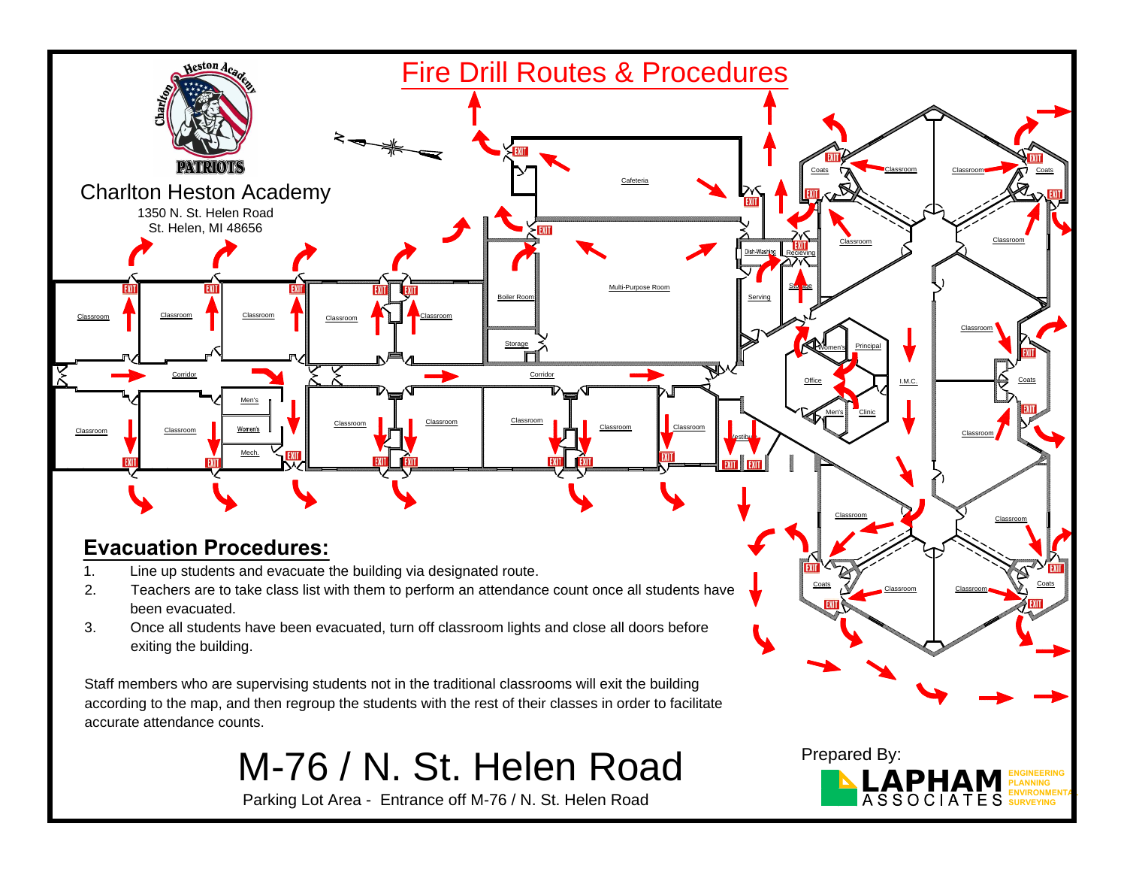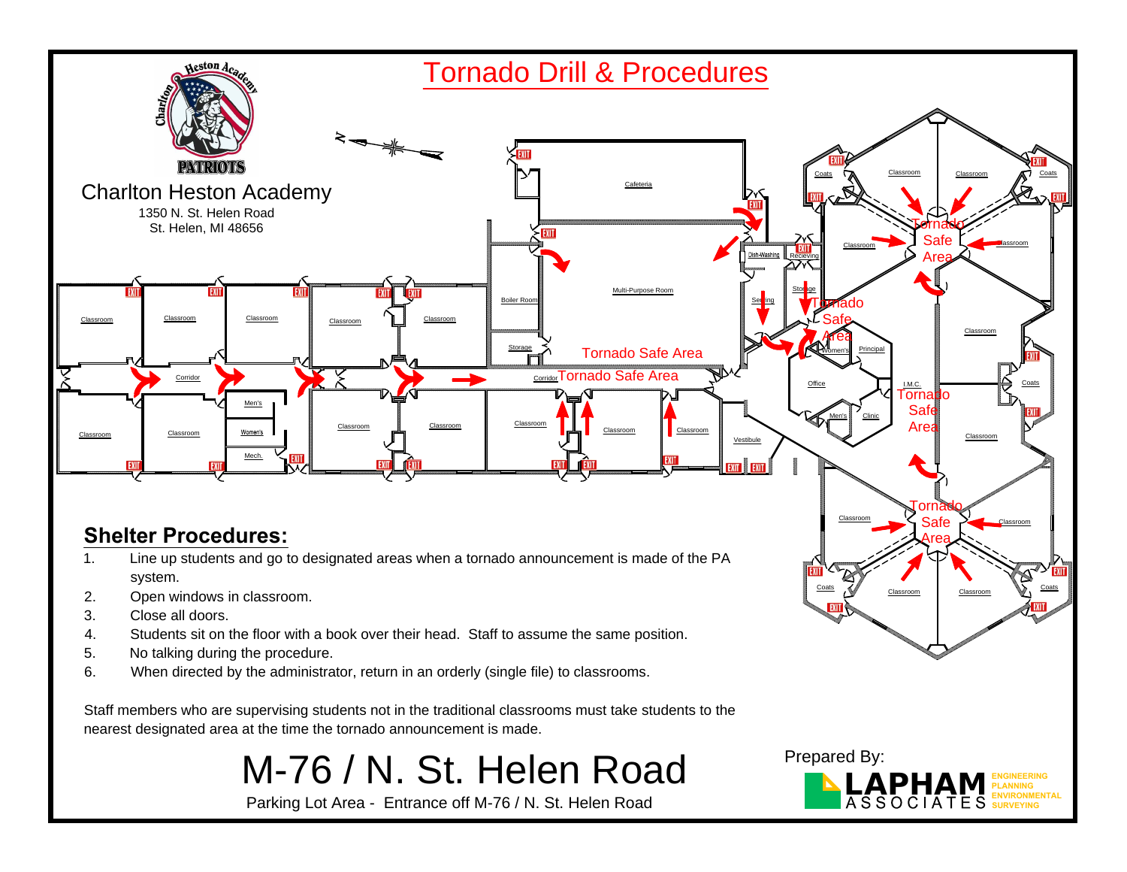

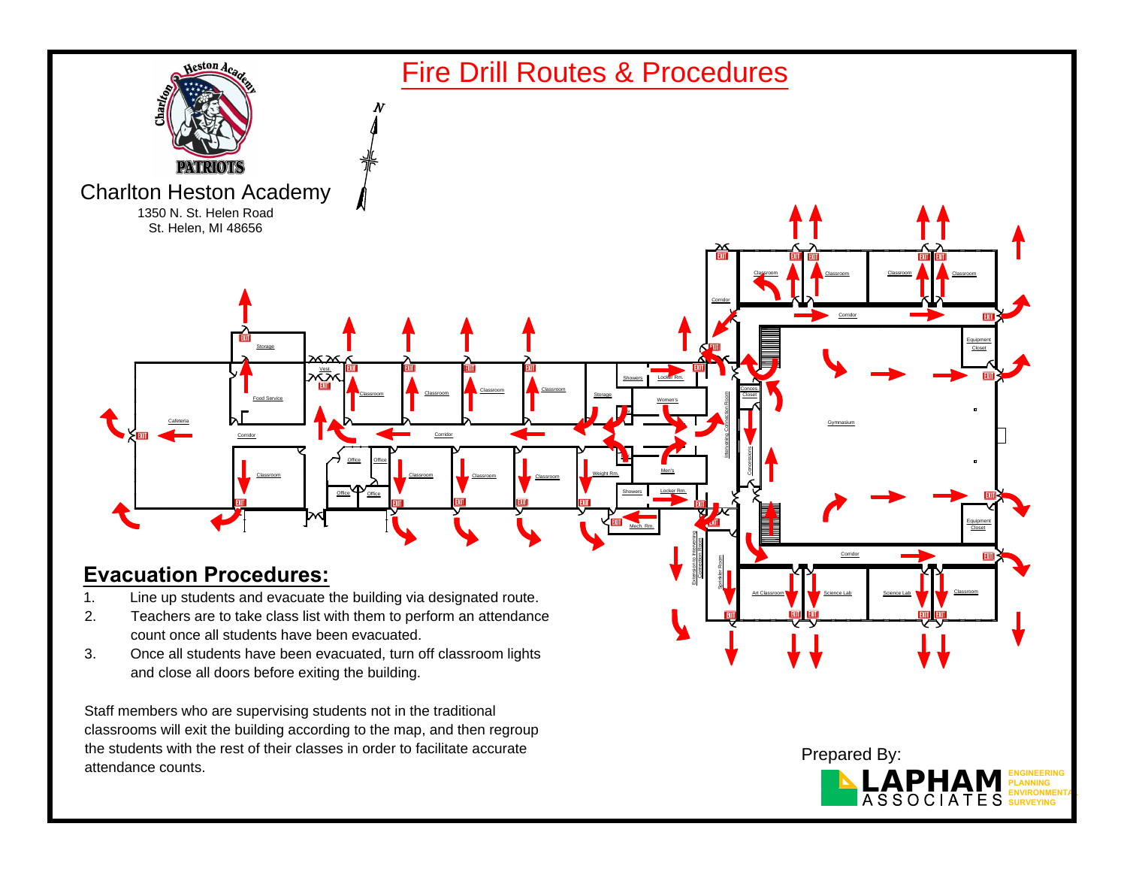